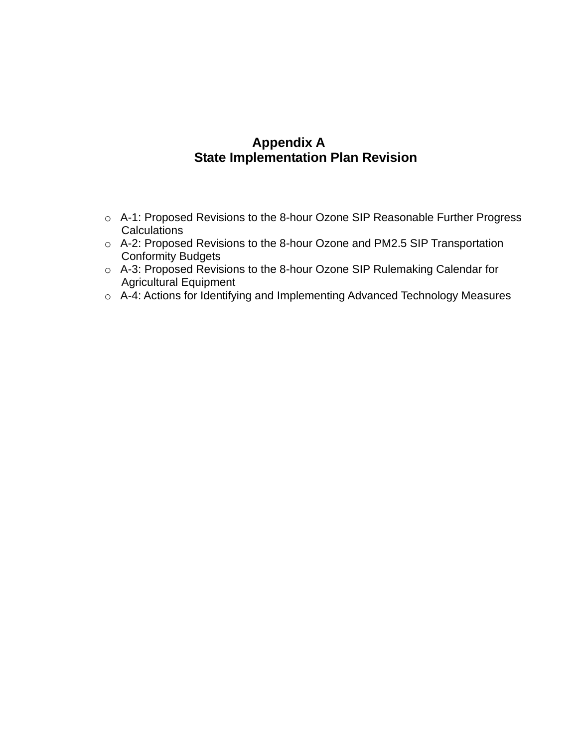# **Appendix A State Implementation Plan Revision**

- o A-1: Proposed Revisions to the 8-hour Ozone SIP Reasonable Further Progress **Calculations**
- o A-2: Proposed Revisions to the 8-hour Ozone and PM2.5 SIP Transportation Conformity Budgets
- o A-3: Proposed Revisions to the 8-hour Ozone SIP Rulemaking Calendar for Agricultural Equipment
- o A-4: Actions for Identifying and Implementing Advanced Technology Measures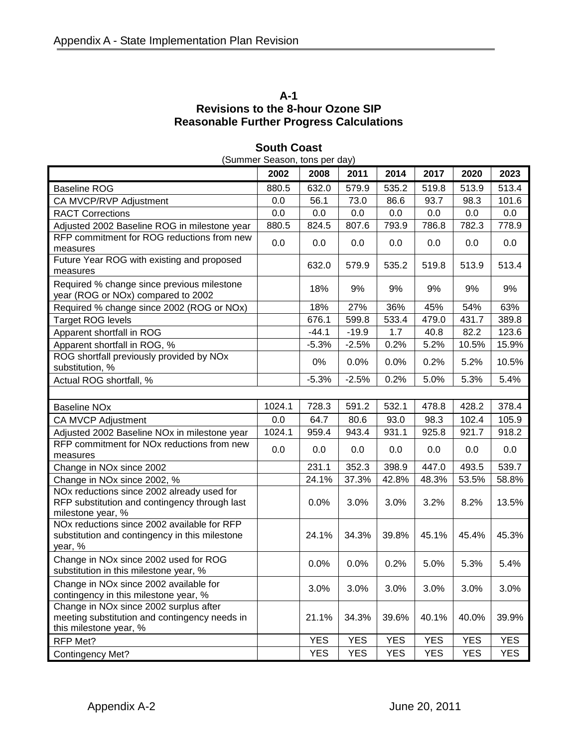# **A-1 Revisions to the 8-hour Ozone SIP Reasonable Further Progress Calculations**

| (Summer Season, tons per day)                                                                                     |        |            |            |            |            |            |            |  |
|-------------------------------------------------------------------------------------------------------------------|--------|------------|------------|------------|------------|------------|------------|--|
|                                                                                                                   | 2002   | 2008       | 2011       | 2014       | 2017       | 2020       | 2023       |  |
| <b>Baseline ROG</b>                                                                                               | 880.5  | 632.0      | 579.9      | 535.2      | 519.8      | 513.9      | 513.4      |  |
| CA MVCP/RVP Adjustment                                                                                            | 0.0    | 56.1       | 73.0       | 86.6       | 93.7       | 98.3       | 101.6      |  |
| <b>RACT Corrections</b>                                                                                           | 0.0    | 0.0        | 0.0        | 0.0        | 0.0        | 0.0        | 0.0        |  |
| Adjusted 2002 Baseline ROG in milestone year                                                                      | 880.5  | 824.5      | 807.6      | 793.9      | 786.8      | 782.3      | 778.9      |  |
| RFP commitment for ROG reductions from new<br>measures                                                            | 0.0    | 0.0        | 0.0        | 0.0        | 0.0        | 0.0        | 0.0        |  |
| Future Year ROG with existing and proposed<br>measures                                                            |        | 632.0      | 579.9      | 535.2      | 519.8      | 513.9      | 513.4      |  |
| Required % change since previous milestone<br>year (ROG or NOx) compared to 2002                                  |        | 18%        | 9%         | 9%         | 9%         | 9%         | 9%         |  |
| Required % change since 2002 (ROG or NOx)                                                                         |        | 18%        | 27%        | 36%        | 45%        | 54%        | 63%        |  |
| <b>Target ROG levels</b>                                                                                          |        | 676.1      | 599.8      | 533.4      | 479.0      | 431.7      | 389.8      |  |
| Apparent shortfall in ROG                                                                                         |        | $-44.1$    | $-19.9$    | 1.7        | 40.8       | 82.2       | 123.6      |  |
| Apparent shortfall in ROG, %                                                                                      |        | $-5.3%$    | $-2.5%$    | 0.2%       | 5.2%       | 10.5%      | 15.9%      |  |
| ROG shortfall previously provided by NOx<br>substitution, %                                                       |        | 0%         | 0.0%       | 0.0%       | 0.2%       | 5.2%       | 10.5%      |  |
| Actual ROG shortfall, %                                                                                           |        | $-5.3%$    | $-2.5%$    | 0.2%       | 5.0%       | 5.3%       | 5.4%       |  |
|                                                                                                                   |        |            |            |            |            |            |            |  |
| <b>Baseline NOx</b>                                                                                               | 1024.1 | 728.3      | 591.2      | 532.1      | 478.8      | 428.2      | 378.4      |  |
| CA MVCP Adjustment                                                                                                | 0.0    | 64.7       | 80.6       | 93.0       | 98.3       | 102.4      | 105.9      |  |
| Adjusted 2002 Baseline NOx in milestone year                                                                      | 1024.1 | 959.4      | 943.4      | 931.1      | 925.8      | 921.7      | 918.2      |  |
| RFP commitment for NOx reductions from new<br>measures                                                            | 0.0    | 0.0        | 0.0        | 0.0        | 0.0        | 0.0        | 0.0        |  |
| Change in NOx since 2002                                                                                          |        | 231.1      | 352.3      | 398.9      | 447.0      | 493.5      | 539.7      |  |
| Change in NOx since 2002, %                                                                                       |        | 24.1%      | 37.3%      | 42.8%      | 48.3%      | 53.5%      | 58.8%      |  |
| NOx reductions since 2002 already used for<br>RFP substitution and contingency through last<br>milestone year, %  |        | 0.0%       | 3.0%       | 3.0%       | 3.2%       | 8.2%       | 13.5%      |  |
| NOx reductions since 2002 available for RFP<br>substitution and contingency in this milestone<br>year, %          |        | 24.1%      | 34.3%      | 39.8%      | 45.1%      | 45.4%      | 45.3%      |  |
| Change in NOx since 2002 used for ROG<br>substitution in this milestone year, %                                   |        | 0.0%       | 0.0%       | 0.2%       | 5.0%       | 5.3%       | 5.4%       |  |
| Change in NOx since 2002 available for<br>contingency in this milestone year, %                                   |        | 3.0%       | 3.0%       | 3.0%       | 3.0%       | 3.0%       | 3.0%       |  |
| Change in NOx since 2002 surplus after<br>meeting substitution and contingency needs in<br>this milestone year, % |        | 21.1%      | 34.3%      | 39.6%      | 40.1%      | 40.0%      | 39.9%      |  |
| RFP Met?                                                                                                          |        | <b>YES</b> | <b>YES</b> | <b>YES</b> | <b>YES</b> | <b>YES</b> | <b>YES</b> |  |
| Contingency Met?                                                                                                  |        | <b>YES</b> | YES        | <b>YES</b> | <b>YES</b> | <b>YES</b> | <b>YES</b> |  |

# **South Coast**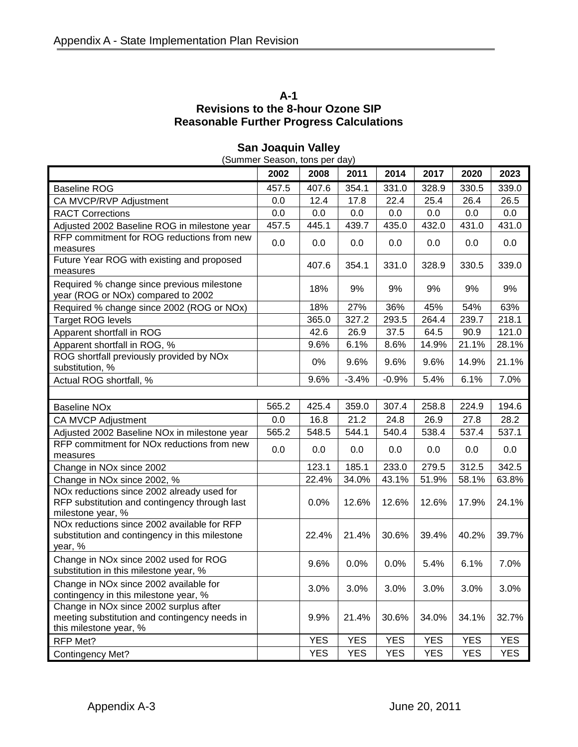# **A-1 Revisions to the 8-hour Ozone SIP Reasonable Further Progress Calculations**

| (Summer Season, tons per day)                                                                                     |       |            |            |            |            |            |            |  |
|-------------------------------------------------------------------------------------------------------------------|-------|------------|------------|------------|------------|------------|------------|--|
|                                                                                                                   | 2002  | 2008       | 2011       | 2014       | 2017       | 2020       | 2023       |  |
| <b>Baseline ROG</b>                                                                                               | 457.5 | 407.6      | 354.1      | 331.0      | 328.9      | 330.5      | 339.0      |  |
| CA MVCP/RVP Adjustment                                                                                            | 0.0   | 12.4       | 17.8       | 22.4       | 25.4       | 26.4       | 26.5       |  |
| <b>RACT Corrections</b>                                                                                           | 0.0   | 0.0        | 0.0        | 0.0        | 0.0        | 0.0        | 0.0        |  |
| Adjusted 2002 Baseline ROG in milestone year                                                                      | 457.5 | 445.1      | 439.7      | 435.0      | 432.0      | 431.0      | 431.0      |  |
| RFP commitment for ROG reductions from new<br>measures                                                            | 0.0   | 0.0        | 0.0        | 0.0        | 0.0        | 0.0        | 0.0        |  |
| Future Year ROG with existing and proposed<br>measures                                                            |       | 407.6      | 354.1      | 331.0      | 328.9      | 330.5      | 339.0      |  |
| Required % change since previous milestone<br>year (ROG or NOx) compared to 2002                                  |       | 18%        | 9%         | 9%         | 9%         | 9%         | 9%         |  |
| Required % change since 2002 (ROG or NOx)                                                                         |       | 18%        | 27%        | 36%        | 45%        | 54%        | 63%        |  |
| <b>Target ROG levels</b>                                                                                          |       | 365.0      | 327.2      | 293.5      | 264.4      | 239.7      | 218.1      |  |
| Apparent shortfall in ROG                                                                                         |       | 42.6       | 26.9       | 37.5       | 64.5       | 90.9       | 121.0      |  |
| Apparent shortfall in ROG, %                                                                                      |       | 9.6%       | 6.1%       | 8.6%       | 14.9%      | 21.1%      | 28.1%      |  |
| ROG shortfall previously provided by NOx<br>substitution, %                                                       |       | 0%         | 9.6%       | 9.6%       | 9.6%       | 14.9%      | 21.1%      |  |
| Actual ROG shortfall, %                                                                                           |       | 9.6%       | $-3.4%$    | $-0.9%$    | 5.4%       | 6.1%       | 7.0%       |  |
|                                                                                                                   |       |            |            |            |            |            |            |  |
| <b>Baseline NOx</b>                                                                                               | 565.2 | 425.4      | 359.0      | 307.4      | 258.8      | 224.9      | 194.6      |  |
| CA MVCP Adjustment                                                                                                | 0.0   | 16.8       | 21.2       | 24.8       | 26.9       | 27.8       | 28.2       |  |
| Adjusted 2002 Baseline NOx in milestone year                                                                      | 565.2 | 548.5      | 544.1      | 540.4      | 538.4      | 537.4      | 537.1      |  |
| RFP commitment for NOx reductions from new<br>measures                                                            | 0.0   | 0.0        | 0.0        | 0.0        | 0.0        | 0.0        | 0.0        |  |
| Change in NOx since 2002                                                                                          |       | 123.1      | 185.1      | 233.0      | 279.5      | 312.5      | 342.5      |  |
| Change in NOx since 2002, %                                                                                       |       | 22.4%      | 34.0%      | 43.1%      | 51.9%      | 58.1%      | 63.8%      |  |
| NOx reductions since 2002 already used for<br>RFP substitution and contingency through last<br>milestone year, %  |       | 0.0%       | 12.6%      | 12.6%      | 12.6%      | 17.9%      | 24.1%      |  |
| NOx reductions since 2002 available for RFP<br>substitution and contingency in this milestone<br>year, %          |       | 22.4%      | 21.4%      | 30.6%      | 39.4%      | 40.2%      | 39.7%      |  |
| Change in NOx since 2002 used for ROG<br>substitution in this milestone year, %                                   |       | 9.6%       | 0.0%       | 0.0%       | 5.4%       | 6.1%       | 7.0%       |  |
| Change in NOx since 2002 available for<br>contingency in this milestone year, %                                   |       | 3.0%       | 3.0%       | 3.0%       | 3.0%       | 3.0%       | 3.0%       |  |
| Change in NOx since 2002 surplus after<br>meeting substitution and contingency needs in<br>this milestone year, % |       | 9.9%       | 21.4%      | 30.6%      | 34.0%      | 34.1%      | 32.7%      |  |
| RFP Met?                                                                                                          |       | <b>YES</b> | <b>YES</b> | <b>YES</b> | <b>YES</b> | <b>YES</b> | <b>YES</b> |  |
| Contingency Met?                                                                                                  |       | <b>YES</b> | <b>YES</b> | <b>YES</b> | <b>YES</b> | <b>YES</b> | <b>YES</b> |  |

# **San Joaquin Valley**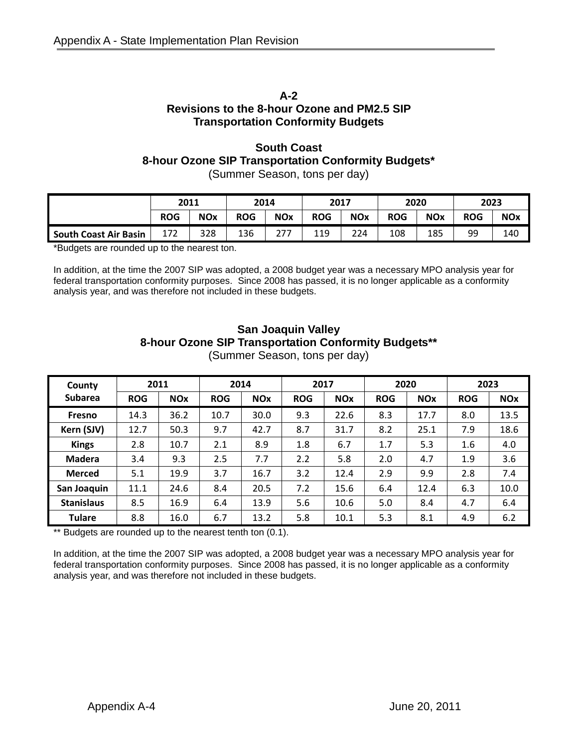#### **A-2 Revisions to the 8-hour Ozone and PM2.5 SIP Transportation Conformity Budgets**

#### **South Coast 8-hour Ozone SIP Transportation Conformity Budgets\*** (Summer Season, tons per day)

**2011 2014 2017 2020 2023 ROG NOx ROG NOx ROG NOx ROG NOx ROG NOx South Coast Air Basin** | 172 | 328 | 136 | 277 | 119 | 224 | 108 | 185 | 99 | 140

\*Budgets are rounded up to the nearest ton.

In addition, at the time the 2007 SIP was adopted, a 2008 budget year was a necessary MPO analysis year for federal transportation conformity purposes. Since 2008 has passed, it is no longer applicable as a conformity analysis year, and was therefore not included in these budgets.

# **San Joaquin Valley 8-hour Ozone SIP Transportation Conformity Budgets\*\***

| County            | 2011       |            | 2014       |            | 2017       |            | 2020       |                       | 2023       |            |
|-------------------|------------|------------|------------|------------|------------|------------|------------|-----------------------|------------|------------|
| <b>Subarea</b>    | <b>ROG</b> | <b>NOx</b> | <b>ROG</b> | <b>NOx</b> | <b>ROG</b> | <b>NOx</b> | <b>ROG</b> | <b>NO<sub>x</sub></b> | <b>ROG</b> | <b>NOx</b> |
| <b>Fresno</b>     | 14.3       | 36.2       | 10.7       | 30.0       | 9.3        | 22.6       | 8.3        | 17.7                  | 8.0        | 13.5       |
| Kern (SJV)        | 12.7       | 50.3       | 9.7        | 42.7       | 8.7        | 31.7       | 8.2        | 25.1                  | 7.9        | 18.6       |
| <b>Kings</b>      | 2.8        | 10.7       | 2.1        | 8.9        | 1.8        | 6.7        | 1.7        | 5.3                   | 1.6        | 4.0        |
| <b>Madera</b>     | 3.4        | 9.3        | 2.5        | 7.7        | 2.2        | 5.8        | 2.0        | 4.7                   | 1.9        | 3.6        |
| <b>Merced</b>     | 5.1        | 19.9       | 3.7        | 16.7       | 3.2        | 12.4       | 2.9        | 9.9                   | 2.8        | 7.4        |
| San Joaquin       | 11.1       | 24.6       | 8.4        | 20.5       | 7.2        | 15.6       | 6.4        | 12.4                  | 6.3        | 10.0       |
| <b>Stanislaus</b> | 8.5        | 16.9       | 6.4        | 13.9       | 5.6        | 10.6       | 5.0        | 8.4                   | 4.7        | 6.4        |
| <b>Tulare</b>     | 8.8        | 16.0       | 6.7        | 13.2       | 5.8        | 10.1       | 5.3        | 8.1                   | 4.9        | 6.2        |

(Summer Season, tons per day)

\*\* Budgets are rounded up to the nearest tenth ton (0.1).

In addition, at the time the 2007 SIP was adopted, a 2008 budget year was a necessary MPO analysis year for federal transportation conformity purposes. Since 2008 has passed, it is no longer applicable as a conformity analysis year, and was therefore not included in these budgets.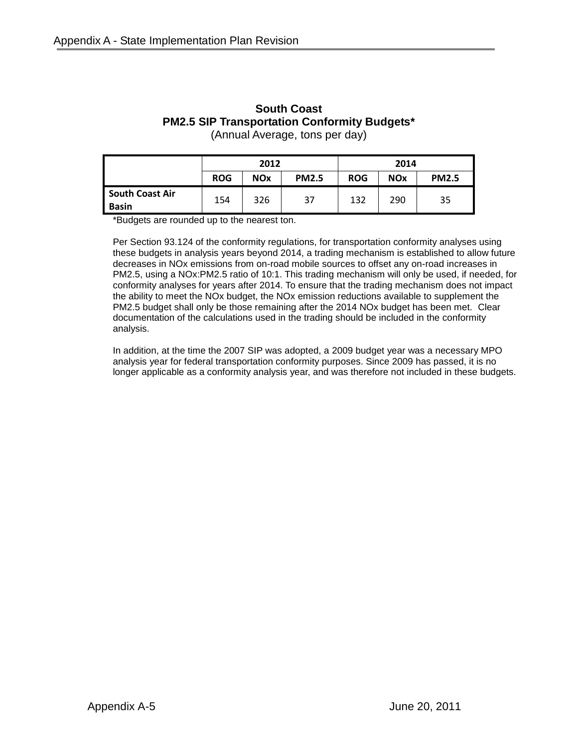# **South Coast PM2.5 SIP Transportation Conformity Budgets\***

(Annual Average, tons per day)

|                                 | 2012       |            |              | 2014       |            |              |  |
|---------------------------------|------------|------------|--------------|------------|------------|--------------|--|
|                                 | <b>ROG</b> | <b>NOx</b> | <b>PM2.5</b> | <b>ROG</b> | <b>NOx</b> | <b>PM2.5</b> |  |
| <b>South Coast Air</b><br>Basin | 154        | 326        | 37           | 132        | 290        | 35           |  |

\*Budgets are rounded up to the nearest ton.

Per Section 93.124 of the conformity regulations, for transportation conformity analyses using these budgets in analysis years beyond 2014, a trading mechanism is established to allow future decreases in NOx emissions from on-road mobile sources to offset any on-road increases in PM2.5, using a NOx:PM2.5 ratio of 10:1. This trading mechanism will only be used, if needed, for conformity analyses for years after 2014. To ensure that the trading mechanism does not impact the ability to meet the NOx budget, the NOx emission reductions available to supplement the PM2.5 budget shall only be those remaining after the 2014 NOx budget has been met. Clear documentation of the calculations used in the trading should be included in the conformity analysis.

In addition, at the time the 2007 SIP was adopted, a 2009 budget year was a necessary MPO analysis year for federal transportation conformity purposes. Since 2009 has passed, it is no longer applicable as a conformity analysis year, and was therefore not included in these budgets.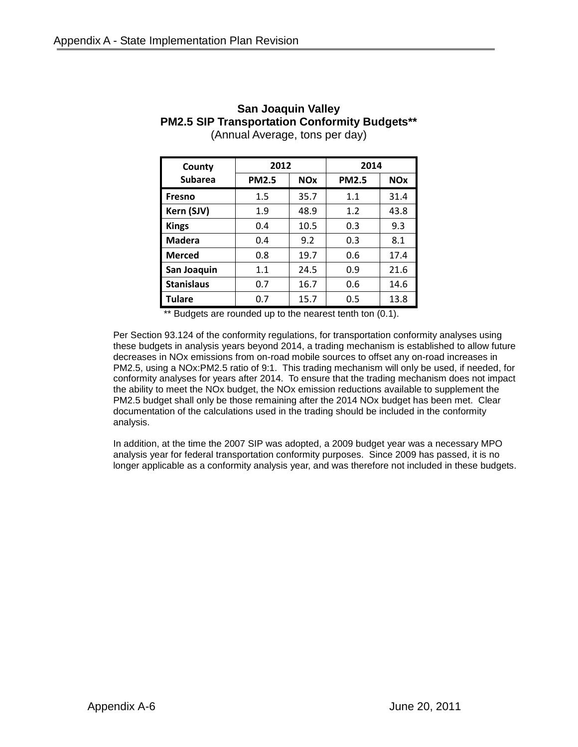| County            | 2012         |            | 2014 |            |  |
|-------------------|--------------|------------|------|------------|--|
| <b>Subarea</b>    | <b>PM2.5</b> | <b>NOx</b> |      | <b>NOx</b> |  |
| <b>Fresno</b>     | 1.5          | 35.7       | 1.1  | 31.4       |  |
| Kern (SJV)        | 1.9          | 48.9       | 1.2  | 43.8       |  |
| <b>Kings</b>      | 0.4          | 10.5       | 0.3  | 9.3        |  |
| Madera            | 0.4          | 9.2        | 0.3  | 8.1        |  |
| <b>Merced</b>     | 0.8          | 19.7       | 0.6  | 17.4       |  |
| San Joaquin       | 1.1          | 24.5       | 0.9  | 21.6       |  |
| <b>Stanislaus</b> | 0.7          | 16.7       | 0.6  | 14.6       |  |
| <b>Tulare</b>     | 0.7          | 15.7       | 0.5  | 13.8       |  |

#### **San Joaquin Valley PM2.5 SIP Transportation Conformity Budgets\*\*** (Annual Average, tons per day)

\*\* Budgets are rounded up to the nearest tenth ton (0.1).

Per Section 93.124 of the conformity regulations, for transportation conformity analyses using these budgets in analysis years beyond 2014, a trading mechanism is established to allow future decreases in NOx emissions from on-road mobile sources to offset any on-road increases in PM2.5, using a NOx:PM2.5 ratio of 9:1. This trading mechanism will only be used, if needed, for conformity analyses for years after 2014. To ensure that the trading mechanism does not impact the ability to meet the NOx budget, the NOx emission reductions available to supplement the PM2.5 budget shall only be those remaining after the 2014 NOx budget has been met. Clear documentation of the calculations used in the trading should be included in the conformity analysis.

In addition, at the time the 2007 SIP was adopted, a 2009 budget year was a necessary MPO analysis year for federal transportation conformity purposes. Since 2009 has passed, it is no longer applicable as a conformity analysis year, and was therefore not included in these budgets.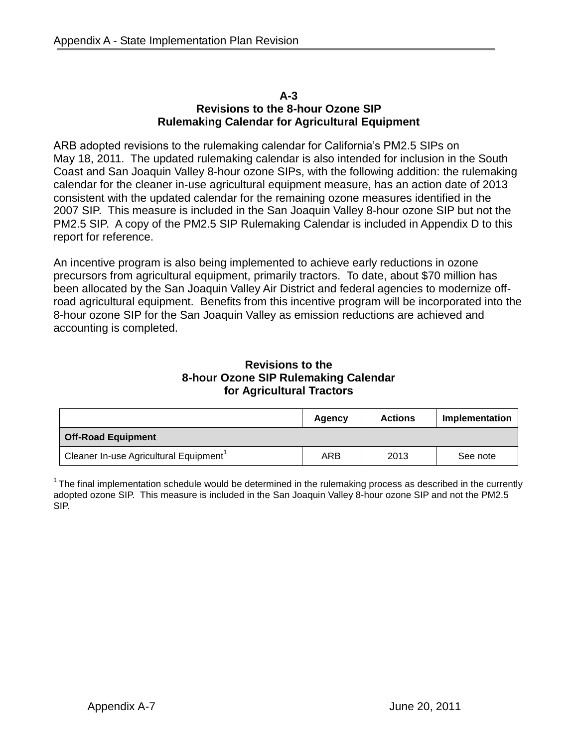#### **A-3 Revisions to the 8-hour Ozone SIP Rulemaking Calendar for Agricultural Equipment**

ARB adopted revisions to the rulemaking calendar for California's PM2.5 SIPs on May 18, 2011. The updated rulemaking calendar is also intended for inclusion in the South Coast and San Joaquin Valley 8-hour ozone SIPs, with the following addition: the rulemaking calendar for the cleaner in-use agricultural equipment measure, has an action date of 2013 consistent with the updated calendar for the remaining ozone measures identified in the 2007 SIP. This measure is included in the San Joaquin Valley 8-hour ozone SIP but not the PM2.5 SIP. A copy of the PM2.5 SIP Rulemaking Calendar is included in Appendix D to this report for reference.

An incentive program is also being implemented to achieve early reductions in ozone precursors from agricultural equipment, primarily tractors. To date, about \$70 million has been allocated by the San Joaquin Valley Air District and federal agencies to modernize offroad agricultural equipment. Benefits from this incentive program will be incorporated into the 8-hour ozone SIP for the San Joaquin Valley as emission reductions are achieved and accounting is completed.

#### **Revisions to the 8-hour Ozone SIP Rulemaking Calendar for Agricultural Tractors**

|                                                    | Agency | <b>Actions</b> | Implementation |
|----------------------------------------------------|--------|----------------|----------------|
| <b>Off-Road Equipment</b>                          |        |                |                |
| Cleaner In-use Agricultural Equipment <sup>1</sup> | ARB    | 2013           | See note       |

 $1$ The final implementation schedule would be determined in the rulemaking process as described in the currently adopted ozone SIP. This measure is included in the San Joaquin Valley 8-hour ozone SIP and not the PM2.5 SIP.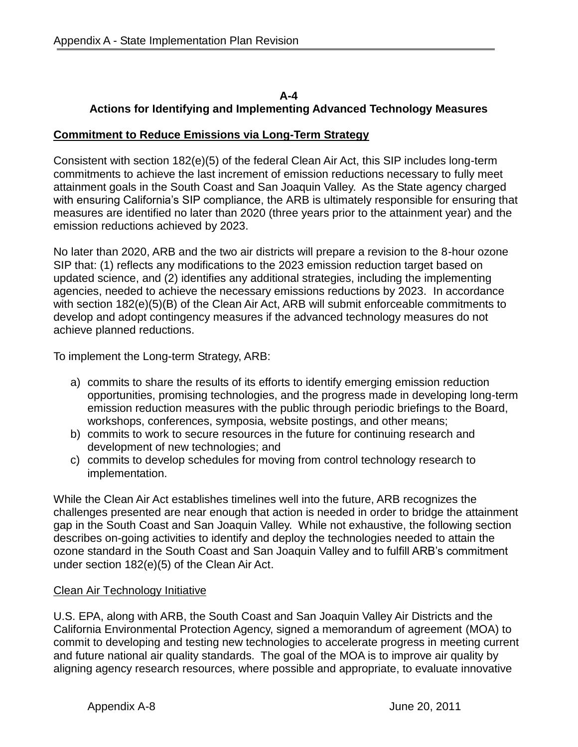## **A-4 Actions for Identifying and Implementing Advanced Technology Measures**

# **Commitment to Reduce Emissions via Long-Term Strategy**

Consistent with section 182(e)(5) of the federal Clean Air Act, this SIP includes long-term commitments to achieve the last increment of emission reductions necessary to fully meet attainment goals in the South Coast and San Joaquin Valley. As the State agency charged with ensuring California's SIP compliance, the ARB is ultimately responsible for ensuring that measures are identified no later than 2020 (three years prior to the attainment year) and the emission reductions achieved by 2023.

No later than 2020, ARB and the two air districts will prepare a revision to the 8-hour ozone SIP that: (1) reflects any modifications to the 2023 emission reduction target based on updated science, and (2) identifies any additional strategies, including the implementing agencies, needed to achieve the necessary emissions reductions by 2023. In accordance with section 182(e)(5)(B) of the Clean Air Act, ARB will submit enforceable commitments to develop and adopt contingency measures if the advanced technology measures do not achieve planned reductions.

To implement the Long-term Strategy, ARB:

- a) commits to share the results of its efforts to identify emerging emission reduction opportunities, promising technologies, and the progress made in developing long-term emission reduction measures with the public through periodic briefings to the Board, workshops, conferences, symposia, website postings, and other means;
- b) commits to work to secure resources in the future for continuing research and development of new technologies; and
- c) commits to develop schedules for moving from control technology research to implementation.

While the Clean Air Act establishes timelines well into the future, ARB recognizes the challenges presented are near enough that action is needed in order to bridge the attainment gap in the South Coast and San Joaquin Valley. While not exhaustive, the following section describes on-going activities to identify and deploy the technologies needed to attain the ozone standard in the South Coast and San Joaquin Valley and to fulfill ARB's commitment under section 182(e)(5) of the Clean Air Act.

# Clean Air Technology Initiative

U.S. EPA, along with ARB, the South Coast and San Joaquin Valley Air Districts and the California Environmental Protection Agency, signed a memorandum of agreement (MOA) to commit to developing and testing new technologies to accelerate progress in meeting current and future national air quality standards. The goal of the MOA is to improve air quality by aligning agency research resources, where possible and appropriate, to evaluate innovative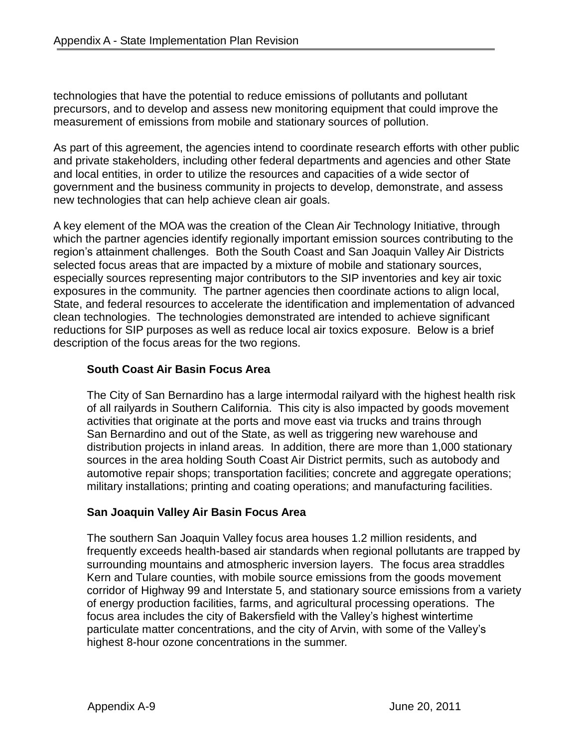technologies that have the potential to reduce emissions of pollutants and pollutant precursors, and to develop and assess new monitoring equipment that could improve the measurement of emissions from mobile and stationary sources of pollution.

As part of this agreement, the agencies intend to coordinate research efforts with other public and private stakeholders, including other federal departments and agencies and other State and local entities, in order to utilize the resources and capacities of a wide sector of government and the business community in projects to develop, demonstrate, and assess new technologies that can help achieve clean air goals.

A key element of the MOA was the creation of the Clean Air Technology Initiative, through which the partner agencies identify regionally important emission sources contributing to the region's attainment challenges. Both the South Coast and San Joaquin Valley Air Districts selected focus areas that are impacted by a mixture of mobile and stationary sources, especially sources representing major contributors to the SIP inventories and key air toxic exposures in the community. The partner agencies then coordinate actions to align local, State, and federal resources to accelerate the identification and implementation of advanced clean technologies. The technologies demonstrated are intended to achieve significant reductions for SIP purposes as well as reduce local air toxics exposure. Below is a brief description of the focus areas for the two regions.

### **South Coast Air Basin Focus Area**

The City of San Bernardino has a large intermodal railyard with the highest health risk of all railyards in Southern California. This city is also impacted by goods movement activities that originate at the ports and move east via trucks and trains through San Bernardino and out of the State, as well as triggering new warehouse and distribution projects in inland areas. In addition, there are more than 1,000 stationary sources in the area holding South Coast Air District permits, such as autobody and automotive repair shops; transportation facilities; concrete and aggregate operations; military installations; printing and coating operations; and manufacturing facilities.

#### **San Joaquin Valley Air Basin Focus Area**

The southern San Joaquin Valley focus area houses 1.2 million residents, and frequently exceeds health-based air standards when regional pollutants are trapped by surrounding mountains and atmospheric inversion layers. The focus area straddles Kern and Tulare counties, with mobile source emissions from the goods movement corridor of Highway 99 and Interstate 5, and stationary source emissions from a variety of energy production facilities, farms, and agricultural processing operations. The focus area includes the city of Bakersfield with the Valley's highest wintertime particulate matter concentrations, and the city of Arvin, with some of the Valley's highest 8-hour ozone concentrations in the summer.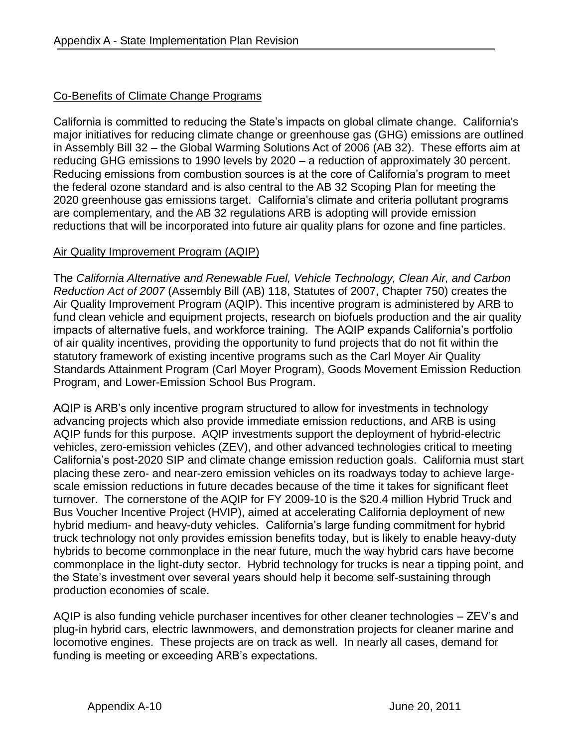# Co-Benefits of Climate Change Programs

California is committed to reducing the State's impacts on global climate change. California's major initiatives for reducing climate change or greenhouse gas (GHG) emissions are outlined in Assembly Bill 32 – the Global Warming Solutions Act of 2006 (AB 32). These efforts aim at reducing GHG emissions to 1990 levels by 2020 – a reduction of approximately 30 percent. Reducing emissions from combustion sources is at the core of California's program to meet the federal ozone standard and is also central to the AB 32 Scoping Plan for meeting the 2020 greenhouse gas emissions target. California's climate and criteria pollutant programs are complementary, and the AB 32 regulations ARB is adopting will provide emission reductions that will be incorporated into future air quality plans for ozone and fine particles.

# Air Quality Improvement Program (AQIP)

The *California Alternative and Renewable Fuel, Vehicle Technology, Clean Air, and Carbon Reduction Act of 2007* (Assembly Bill (AB) 118, Statutes of 2007, Chapter 750) creates the Air Quality Improvement Program (AQIP). This incentive program is administered by ARB to fund clean vehicle and equipment projects, research on biofuels production and the air quality impacts of alternative fuels, and workforce training. The AQIP expands California's portfolio of air quality incentives, providing the opportunity to fund projects that do not fit within the statutory framework of existing incentive programs such as the Carl Moyer Air Quality Standards Attainment Program (Carl Moyer Program), Goods Movement Emission Reduction Program, and Lower-Emission School Bus Program.

AQIP is ARB's only incentive program structured to allow for investments in technology advancing projects which also provide immediate emission reductions, and ARB is using AQIP funds for this purpose. AQIP investments support the deployment of hybrid-electric vehicles, zero-emission vehicles (ZEV), and other advanced technologies critical to meeting California's post-2020 SIP and climate change emission reduction goals. California must start placing these zero- and near-zero emission vehicles on its roadways today to achieve largescale emission reductions in future decades because of the time it takes for significant fleet turnover. The cornerstone of the AQIP for FY 2009-10 is the \$20.4 million Hybrid Truck and Bus Voucher Incentive Project (HVIP), aimed at accelerating California deployment of new hybrid medium- and heavy-duty vehicles. California's large funding commitment for hybrid truck technology not only provides emission benefits today, but is likely to enable heavy-duty hybrids to become commonplace in the near future, much the way hybrid cars have become commonplace in the light-duty sector. Hybrid technology for trucks is near a tipping point, and the State's investment over several years should help it become self-sustaining through production economies of scale.

AQIP is also funding vehicle purchaser incentives for other cleaner technologies – ZEV's and plug-in hybrid cars, electric lawnmowers, and demonstration projects for cleaner marine and locomotive engines. These projects are on track as well. In nearly all cases, demand for funding is meeting or exceeding ARB's expectations.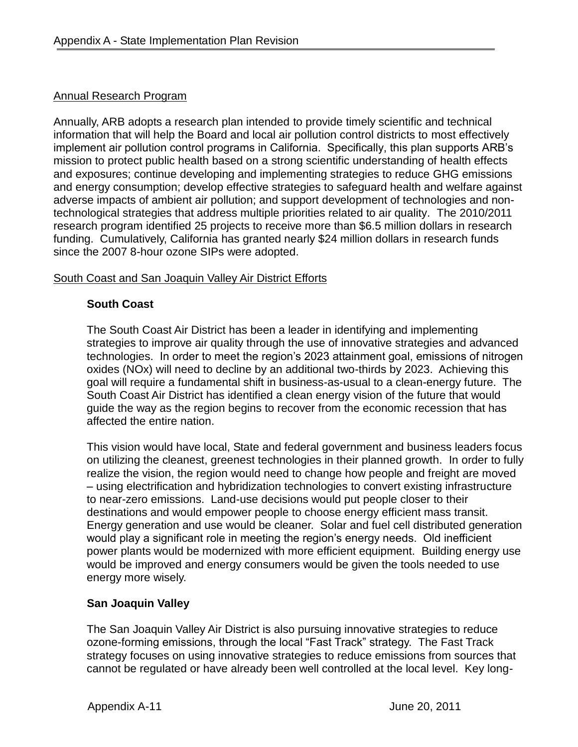#### Annual Research Program

Annually, ARB adopts a research plan intended to provide timely scientific and technical information that will help the Board and local air pollution control districts to most effectively implement air pollution control programs in California. Specifically, this plan supports ARB's mission to protect public health based on a strong scientific understanding of health effects and exposures; continue developing and implementing strategies to reduce GHG emissions and energy consumption; develop effective strategies to safeguard health and welfare against adverse impacts of ambient air pollution; and support development of technologies and nontechnological strategies that address multiple priorities related to air quality. The 2010/2011 research program identified 25 projects to receive more than \$6.5 million dollars in research funding. Cumulatively, California has granted nearly \$24 million dollars in research funds since the 2007 8-hour ozone SIPs were adopted.

#### South Coast and San Joaquin Valley Air District Efforts

#### **South Coast**

The South Coast Air District has been a leader in identifying and implementing strategies to improve air quality through the use of innovative strategies and advanced technologies. In order to meet the region's 2023 attainment goal, emissions of nitrogen oxides (NOx) will need to decline by an additional two-thirds by 2023. Achieving this goal will require a fundamental shift in business-as-usual to a clean-energy future. The South Coast Air District has identified a clean energy vision of the future that would guide the way as the region begins to recover from the economic recession that has affected the entire nation.

This vision would have local, State and federal government and business leaders focus on utilizing the cleanest, greenest technologies in their planned growth. In order to fully realize the vision, the region would need to change how people and freight are moved – using electrification and hybridization technologies to convert existing infrastructure to near-zero emissions. Land-use decisions would put people closer to their destinations and would empower people to choose energy efficient mass transit. Energy generation and use would be cleaner. Solar and fuel cell distributed generation would play a significant role in meeting the region's energy needs. Old inefficient power plants would be modernized with more efficient equipment. Building energy use would be improved and energy consumers would be given the tools needed to use energy more wisely.

# **San Joaquin Valley**

The San Joaquin Valley Air District is also pursuing innovative strategies to reduce ozone-forming emissions, through the local "Fast Track" strategy. The Fast Track strategy focuses on using innovative strategies to reduce emissions from sources that cannot be regulated or have already been well controlled at the local level. Key long